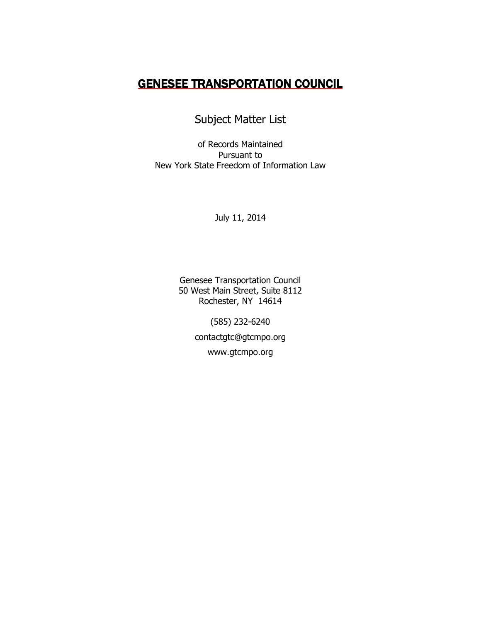## GENESEE TRANSPORTATION COUNCIL

Subject Matter List

of Records Maintained Pursuant to New York State Freedom of Information Law

July 11, 2014

Genesee Transportation Council 50 West Main Street, Suite 8112 Rochester, NY 14614

> (585) 232-6240 contactgtc@gtcmpo.org www.gtcmpo.org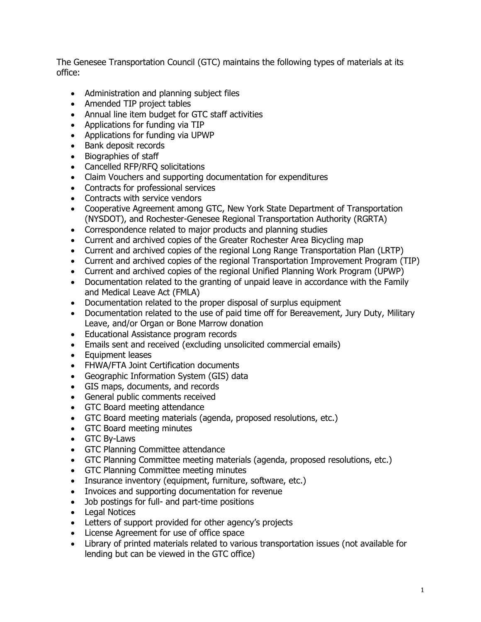The Genesee Transportation Council (GTC) maintains the following types of materials at its office:

- Administration and planning subject files
- Amended TIP project tables
- Annual line item budget for GTC staff activities
- Applications for funding via TIP
- Applications for funding via UPWP
- Bank deposit records
- Biographies of staff
- Cancelled RFP/RFO solicitations
- Claim Vouchers and supporting documentation for expenditures
- Contracts for professional services
- Contracts with service vendors
- Cooperative Agreement among GTC, New York State Department of Transportation (NYSDOT), and Rochester-Genesee Regional Transportation Authority (RGRTA)
- Correspondence related to major products and planning studies
- Current and archived copies of the Greater Rochester Area Bicycling map
- Current and archived copies of the regional Long Range Transportation Plan (LRTP)
- Current and archived copies of the regional Transportation Improvement Program (TIP)
- Current and archived copies of the regional Unified Planning Work Program (UPWP)
- Documentation related to the granting of unpaid leave in accordance with the Family and Medical Leave Act (FMLA)
- Documentation related to the proper disposal of surplus equipment
- Documentation related to the use of paid time off for Bereavement, Jury Duty, Military Leave, and/or Organ or Bone Marrow donation
- Educational Assistance program records
- Emails sent and received (excluding unsolicited commercial emails)
- Equipment leases
- FHWA/FTA Joint Certification documents
- Geographic Information System (GIS) data
- GIS maps, documents, and records
- General public comments received
- GTC Board meeting attendance
- GTC Board meeting materials (agenda, proposed resolutions, etc.)
- GTC Board meeting minutes
- GTC By-Laws
- GTC Planning Committee attendance
- GTC Planning Committee meeting materials (agenda, proposed resolutions, etc.)
- GTC Planning Committee meeting minutes
- Insurance inventory (equipment, furniture, software, etc.)
- Invoices and supporting documentation for revenue
- Job postings for full- and part-time positions
- Legal Notices
- Letters of support provided for other agency's projects
- License Agreement for use of office space
- Library of printed materials related to various transportation issues (not available for lending but can be viewed in the GTC office)